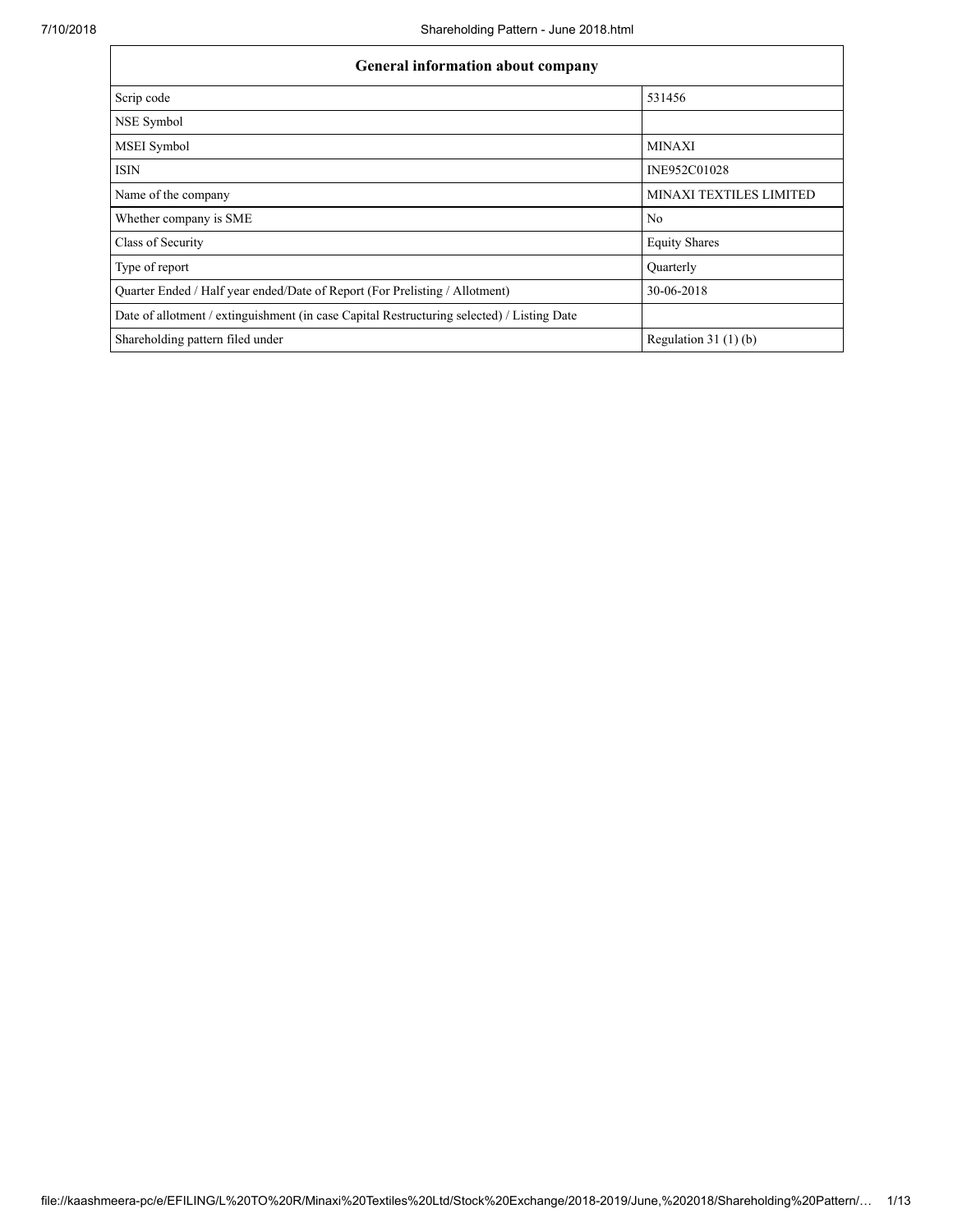| <b>General information about company</b>                                                   |                         |  |  |  |  |  |  |
|--------------------------------------------------------------------------------------------|-------------------------|--|--|--|--|--|--|
| Scrip code                                                                                 | 531456                  |  |  |  |  |  |  |
| NSE Symbol                                                                                 |                         |  |  |  |  |  |  |
| <b>MSEI</b> Symbol                                                                         | <b>MINAXI</b>           |  |  |  |  |  |  |
| <b>ISIN</b>                                                                                | INE952C01028            |  |  |  |  |  |  |
| Name of the company                                                                        | MINAXI TEXTILES LIMITED |  |  |  |  |  |  |
| Whether company is SME                                                                     | N <sub>0</sub>          |  |  |  |  |  |  |
| Class of Security                                                                          | <b>Equity Shares</b>    |  |  |  |  |  |  |
| Type of report                                                                             | <b>Ouarterly</b>        |  |  |  |  |  |  |
| Quarter Ended / Half year ended/Date of Report (For Prelisting / Allotment)                | 30-06-2018              |  |  |  |  |  |  |
| Date of allotment / extinguishment (in case Capital Restructuring selected) / Listing Date |                         |  |  |  |  |  |  |
| Shareholding pattern filed under                                                           | Regulation $31(1)(b)$   |  |  |  |  |  |  |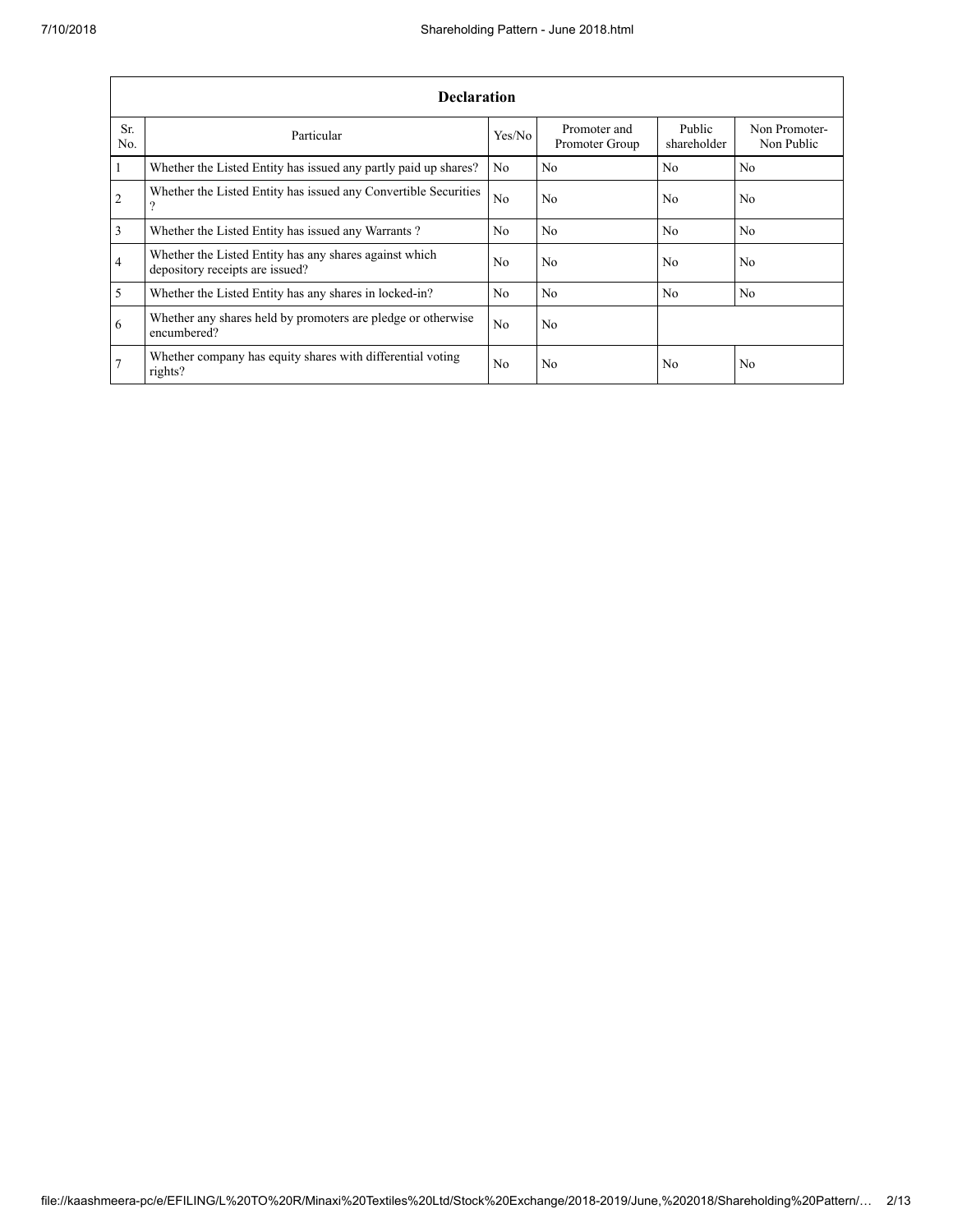|                | <b>Declaration</b>                                                                        |                |                                |                       |                             |  |  |  |  |  |  |  |
|----------------|-------------------------------------------------------------------------------------------|----------------|--------------------------------|-----------------------|-----------------------------|--|--|--|--|--|--|--|
| Sr.<br>No.     | Particular                                                                                | Yes/No         | Promoter and<br>Promoter Group | Public<br>shareholder | Non Promoter-<br>Non Public |  |  |  |  |  |  |  |
| $\mathbf{1}$   | Whether the Listed Entity has issued any partly paid up shares?                           | No             | N <sub>0</sub>                 | No.                   | N <sub>0</sub>              |  |  |  |  |  |  |  |
| <sup>2</sup>   | Whether the Listed Entity has issued any Convertible Securities<br>9                      | N <sub>0</sub> | N <sub>0</sub>                 | No                    | N <sub>0</sub>              |  |  |  |  |  |  |  |
| $\overline{3}$ | Whether the Listed Entity has issued any Warrants?                                        | No.            | N <sub>0</sub>                 | N <sub>0</sub>        | N <sub>0</sub>              |  |  |  |  |  |  |  |
| $\overline{4}$ | Whether the Listed Entity has any shares against which<br>depository receipts are issued? | No             | N <sub>0</sub>                 | No.                   | N <sub>0</sub>              |  |  |  |  |  |  |  |
| $\overline{5}$ | Whether the Listed Entity has any shares in locked-in?                                    | No.            | N <sub>0</sub>                 | N <sub>0</sub>        | N <sub>0</sub>              |  |  |  |  |  |  |  |
| 6              | Whether any shares held by promoters are pledge or otherwise<br>encumbered?               | No.            | N <sub>0</sub>                 |                       |                             |  |  |  |  |  |  |  |
| 7              | Whether company has equity shares with differential voting<br>rights?                     | No             | N <sub>0</sub>                 | No                    | N <sub>0</sub>              |  |  |  |  |  |  |  |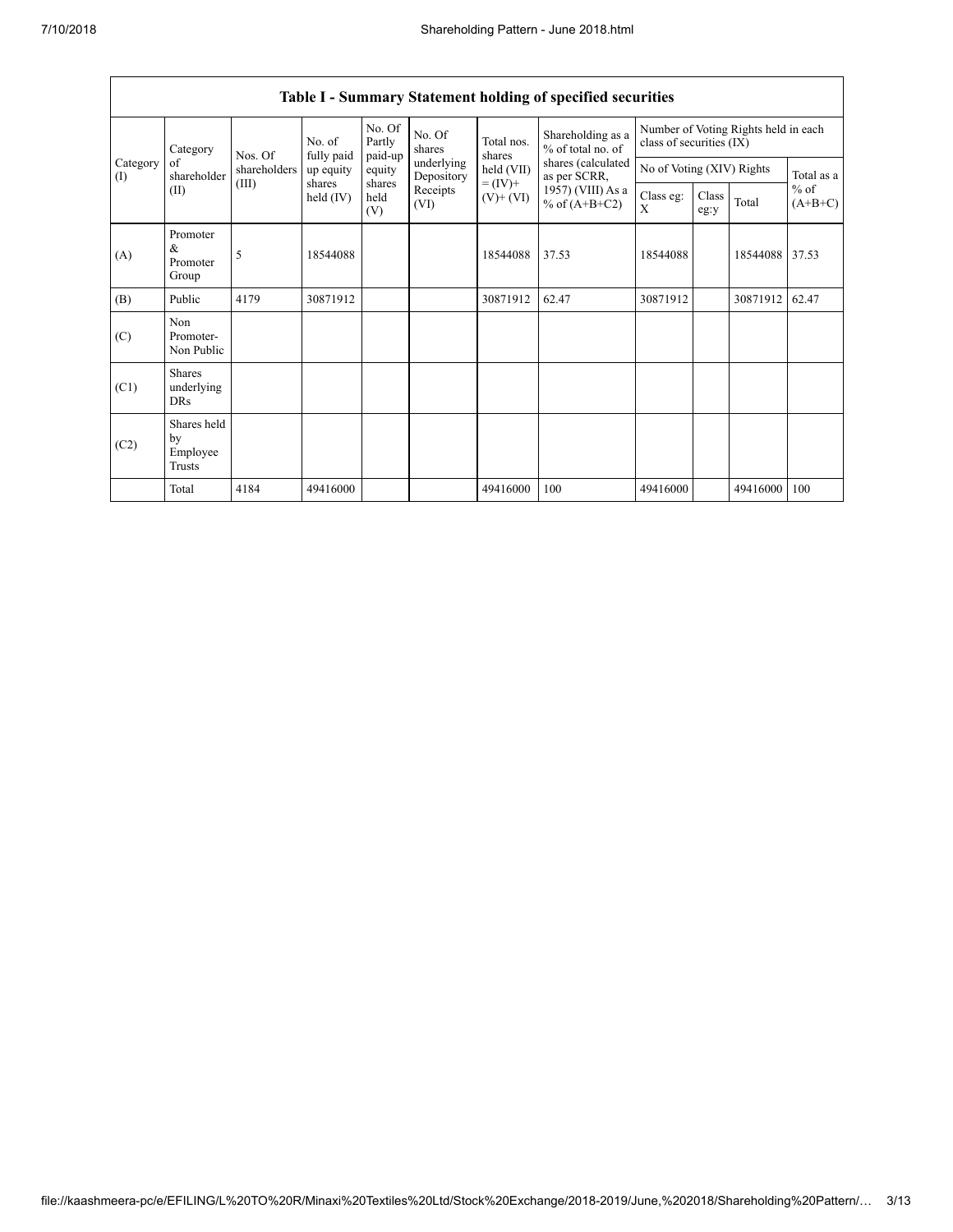|                 | Category<br>of<br>shareholder           | Nos. Of      | No. of<br>fully paid | No. Of<br>Partly<br>paid-up | No. Of<br>shares         | Total nos.<br>shares         | Shareholding as a<br>% of total no. of | class of securities (IX)  |               | Number of Voting Rights held in each |                     |
|-----------------|-----------------------------------------|--------------|----------------------|-----------------------------|--------------------------|------------------------------|----------------------------------------|---------------------------|---------------|--------------------------------------|---------------------|
| Category<br>(I) |                                         | shareholders | up equity            | equity                      | underlying<br>Depository | held (VII)                   | shares (calculated<br>as per SCRR,     | No of Voting (XIV) Rights |               |                                      | Total as a          |
|                 | (II)                                    | (III)        | shares<br>held (IV)  | shares<br>held<br>(V)       | Receipts<br>(VI)         | $= (IV) +$<br>$(V)$ + $(VI)$ | 1957) (VIII) As a<br>% of $(A+B+C2)$   | Class eg:<br>X            | Class<br>eg:y | Total                                | $%$ of<br>$(A+B+C)$ |
| (A)             | Promoter<br>&<br>Promoter<br>Group      | 5            | 18544088             |                             |                          | 18544088                     | 37.53                                  | 18544088                  |               | 18544088                             | 37.53               |
| (B)             | Public                                  | 4179         | 30871912             |                             |                          | 30871912                     | 62.47                                  | 30871912                  |               | 30871912                             | 62.47               |
| (C)             | Non<br>Promoter-<br>Non Public          |              |                      |                             |                          |                              |                                        |                           |               |                                      |                     |
| (C1)            | <b>Shares</b><br>underlying<br>DRs      |              |                      |                             |                          |                              |                                        |                           |               |                                      |                     |
| (C2)            | Shares held<br>by<br>Employee<br>Trusts |              |                      |                             |                          |                              |                                        |                           |               |                                      |                     |
|                 | Total                                   | 4184         | 49416000             |                             |                          | 49416000                     | 100                                    | 49416000                  |               | 49416000                             | 100                 |

## Table I - Summary Statement holding of specified securities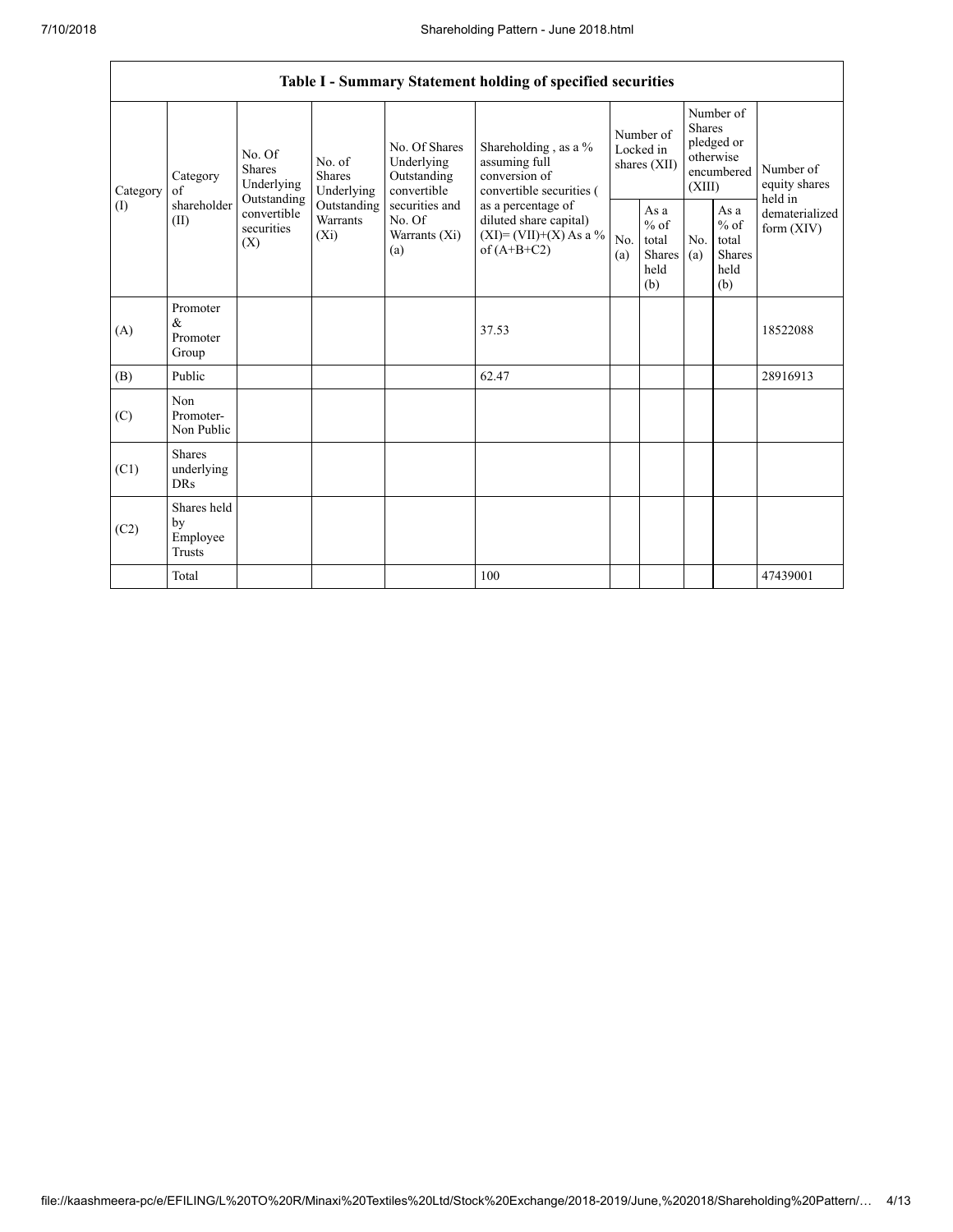٦

|                 | Table I - Summary Statement holding of specified securities |                                                                                                                                                           |                                                  |                                                                                            |                                                                                    |                                                  |            |                                                                               |                                |                                       |  |
|-----------------|-------------------------------------------------------------|-----------------------------------------------------------------------------------------------------------------------------------------------------------|--------------------------------------------------|--------------------------------------------------------------------------------------------|------------------------------------------------------------------------------------|--------------------------------------------------|------------|-------------------------------------------------------------------------------|--------------------------------|---------------------------------------|--|
| Category<br>(1) | Category<br>of<br>shareholder<br>(II)                       | No. Of<br>No. of<br>Shares<br>Shares<br>Underlying<br>Underlying<br>Outstanding<br>Outstanding<br>convertible<br>Warrants<br>securities<br>$(X_i)$<br>(X) |                                                  | No. Of Shares<br>Underlying<br>Outstanding<br>convertible                                  | Shareholding, as a %<br>assuming full<br>conversion of<br>convertible securities ( | Number of<br>Locked in<br>shares (XII)           |            | Number of<br><b>Shares</b><br>pledged or<br>otherwise<br>encumbered<br>(XIII) |                                | Number of<br>equity shares<br>held in |  |
|                 |                                                             |                                                                                                                                                           | securities and<br>No. Of<br>Warrants (Xi)<br>(a) | as a percentage of<br>diluted share capital)<br>$(XI) = (VII)+(X) As a %$<br>of $(A+B+C2)$ | No.<br>(a)                                                                         | As a<br>$%$ of<br>total<br>Shares<br>held<br>(b) | No.<br>(a) | As a<br>$%$ of<br>total<br><b>Shares</b><br>held<br>(b)                       | dematerialized<br>form $(XIV)$ |                                       |  |
| (A)             | Promoter<br>&<br>Promoter<br>Group                          |                                                                                                                                                           |                                                  |                                                                                            | 37.53                                                                              |                                                  |            |                                                                               |                                | 18522088                              |  |
| (B)             | Public                                                      |                                                                                                                                                           |                                                  |                                                                                            | 62.47                                                                              |                                                  |            |                                                                               |                                | 28916913                              |  |
| (C)             | Non<br>Promoter-<br>Non Public                              |                                                                                                                                                           |                                                  |                                                                                            |                                                                                    |                                                  |            |                                                                               |                                |                                       |  |
| (C1)            | <b>Shares</b><br>underlying<br><b>DRs</b>                   |                                                                                                                                                           |                                                  |                                                                                            |                                                                                    |                                                  |            |                                                                               |                                |                                       |  |
| (C2)            | Shares held<br>by<br>Employee<br>Trusts                     |                                                                                                                                                           |                                                  |                                                                                            |                                                                                    |                                                  |            |                                                                               |                                |                                       |  |
|                 | Total                                                       |                                                                                                                                                           |                                                  |                                                                                            | 100                                                                                |                                                  |            |                                                                               |                                | 47439001                              |  |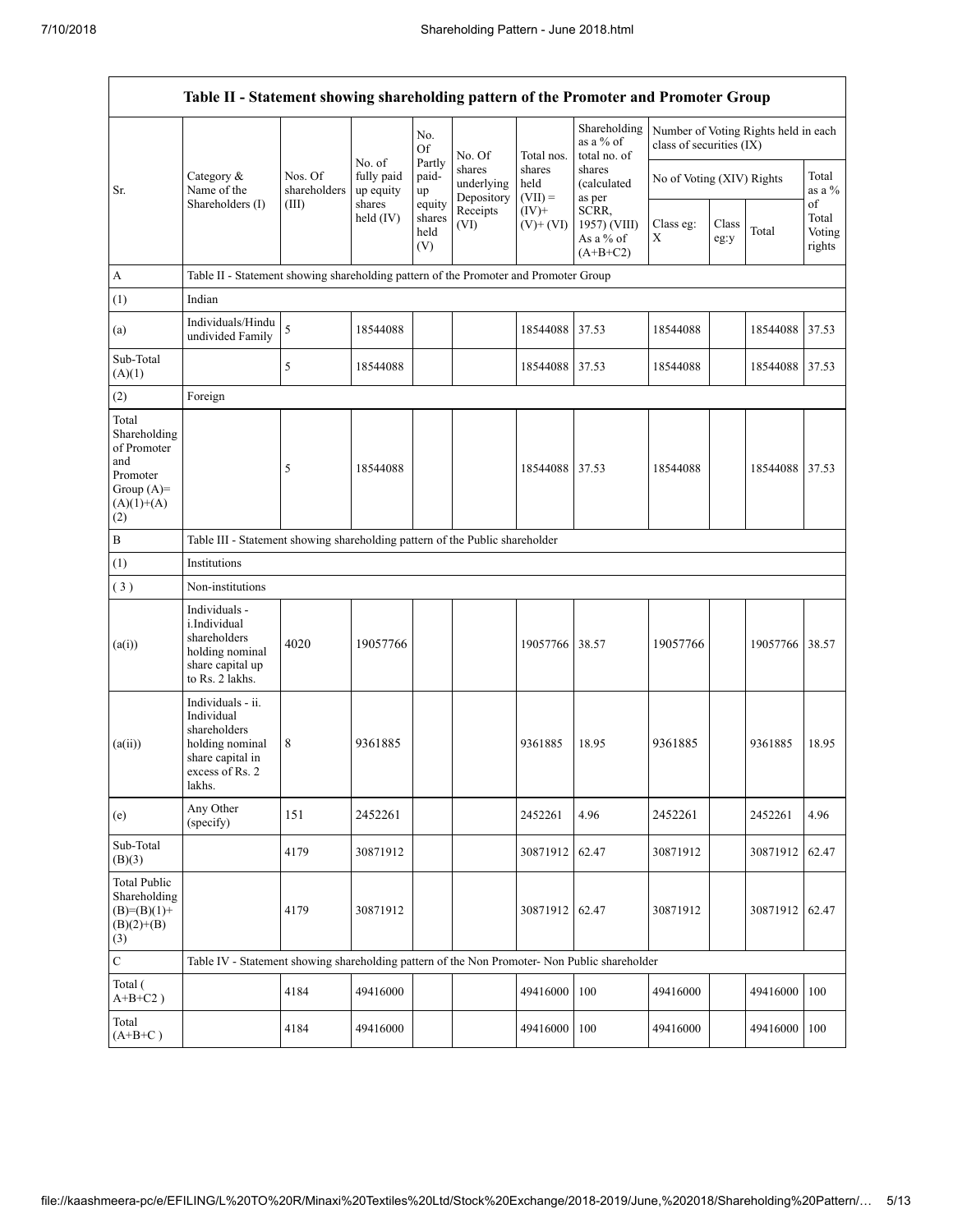|                                                                                                | Table II - Statement showing shareholding pattern of the Promoter and Promoter Group                                |                                                                              |                                             |                                 |                                                        |                                                          |                                                                                             |                           |               |                                      |                           |  |
|------------------------------------------------------------------------------------------------|---------------------------------------------------------------------------------------------------------------------|------------------------------------------------------------------------------|---------------------------------------------|---------------------------------|--------------------------------------------------------|----------------------------------------------------------|---------------------------------------------------------------------------------------------|---------------------------|---------------|--------------------------------------|---------------------------|--|
|                                                                                                |                                                                                                                     |                                                                              |                                             | No.<br>Of                       | No. Of                                                 | Total nos.                                               | Shareholding<br>as a % of<br>total no. of                                                   | class of securities (IX)  |               | Number of Voting Rights held in each |                           |  |
| Sr.                                                                                            | Category &<br>Name of the<br>Shareholders (I)                                                                       | Nos. Of<br>shareholders<br>(III)                                             | No. of<br>fully paid<br>up equity<br>shares | Partly<br>paid-<br>up<br>equity | shares<br>underlying<br>Depository<br>Receipts<br>(VI) | shares<br>held<br>$(VII) =$<br>$(IV)+$<br>$(V)$ + $(VI)$ | shares<br><i>(calculated)</i><br>as per<br>SCRR,<br>1957) (VIII)<br>As a % of<br>$(A+B+C2)$ | No of Voting (XIV) Rights |               |                                      | Total<br>as a %<br>of     |  |
|                                                                                                |                                                                                                                     |                                                                              | held $(IV)$                                 | shares<br>held<br>(V)           |                                                        |                                                          |                                                                                             | Class eg:<br>X            | Class<br>eg:y | Total                                | Total<br>Voting<br>rights |  |
| $\boldsymbol{\mathsf{A}}$                                                                      | Table II - Statement showing shareholding pattern of the Promoter and Promoter Group                                |                                                                              |                                             |                                 |                                                        |                                                          |                                                                                             |                           |               |                                      |                           |  |
| (1)                                                                                            | Indian                                                                                                              |                                                                              |                                             |                                 |                                                        |                                                          |                                                                                             |                           |               |                                      |                           |  |
| (a)                                                                                            | Individuals/Hindu<br>undivided Family                                                                               | 5                                                                            | 18544088                                    |                                 |                                                        | 18544088                                                 | 37.53                                                                                       | 18544088                  |               | 18544088                             | 37.53                     |  |
| Sub-Total<br>(A)(1)                                                                            |                                                                                                                     | 5                                                                            | 18544088                                    |                                 |                                                        | 18544088 37.53                                           |                                                                                             | 18544088                  |               | 18544088 37.53                       |                           |  |
| (2)                                                                                            | Foreign                                                                                                             |                                                                              |                                             |                                 |                                                        |                                                          |                                                                                             |                           |               |                                      |                           |  |
| Total<br>Shareholding<br>of Promoter<br>and<br>Promoter<br>Group $(A)=$<br>$(A)(1)+(A)$<br>(2) |                                                                                                                     | 5                                                                            | 18544088                                    |                                 |                                                        | 18544088 37.53                                           |                                                                                             | 18544088                  |               | 18544088 37.53                       |                           |  |
| $\, {\bf B}$                                                                                   |                                                                                                                     | Table III - Statement showing shareholding pattern of the Public shareholder |                                             |                                 |                                                        |                                                          |                                                                                             |                           |               |                                      |                           |  |
| (1)                                                                                            | Institutions                                                                                                        |                                                                              |                                             |                                 |                                                        |                                                          |                                                                                             |                           |               |                                      |                           |  |
| (3)                                                                                            | Non-institutions                                                                                                    |                                                                              |                                             |                                 |                                                        |                                                          |                                                                                             |                           |               |                                      |                           |  |
| (a(i))                                                                                         | Individuals -<br>i.Individual<br>shareholders<br>holding nominal<br>share capital up<br>to Rs. 2 lakhs.             | 4020                                                                         | 19057766                                    |                                 |                                                        | 19057766 38.57                                           |                                                                                             | 19057766                  |               | 19057766                             | 38.57                     |  |
| (a(ii))                                                                                        | Individuals - ii.<br>Individual<br>shareholders<br>holding nominal<br>share capital in<br>excess of Rs. 2<br>lakhs. | 8                                                                            | 9361885                                     |                                 |                                                        | 9361885                                                  | 18.95                                                                                       | 9361885                   |               | 9361885                              | 18.95                     |  |
| (e)                                                                                            | Any Other<br>(specify)                                                                                              | 151                                                                          | 2452261                                     |                                 |                                                        | 2452261                                                  | 4.96                                                                                        | 2452261                   |               | 2452261                              | 4.96                      |  |
| Sub-Total<br>(B)(3)                                                                            |                                                                                                                     | 4179                                                                         | 30871912                                    |                                 |                                                        | 30871912                                                 | 62.47                                                                                       | 30871912                  |               | 30871912                             | 62.47                     |  |
| <b>Total Public</b><br>Shareholding<br>$(B)= (B)(1) +$<br>$(B)(2)+(B)$<br>(3)                  |                                                                                                                     | 4179                                                                         | 30871912                                    |                                 |                                                        | 30871912 62.47                                           |                                                                                             | 30871912                  |               | 30871912 62.47                       |                           |  |
| $\mathbf C$                                                                                    | Table IV - Statement showing shareholding pattern of the Non Promoter- Non Public shareholder                       |                                                                              |                                             |                                 |                                                        |                                                          |                                                                                             |                           |               |                                      |                           |  |
| Total (<br>$A+B+C2$ )                                                                          |                                                                                                                     | 4184                                                                         | 49416000                                    |                                 |                                                        | 49416000                                                 | 100                                                                                         | 49416000                  |               | 49416000                             | 100                       |  |
| Total<br>$(A+B+C)$                                                                             |                                                                                                                     | 4184                                                                         | 49416000                                    |                                 |                                                        | 49416000                                                 | 100                                                                                         | 49416000                  |               | 49416000                             | 100                       |  |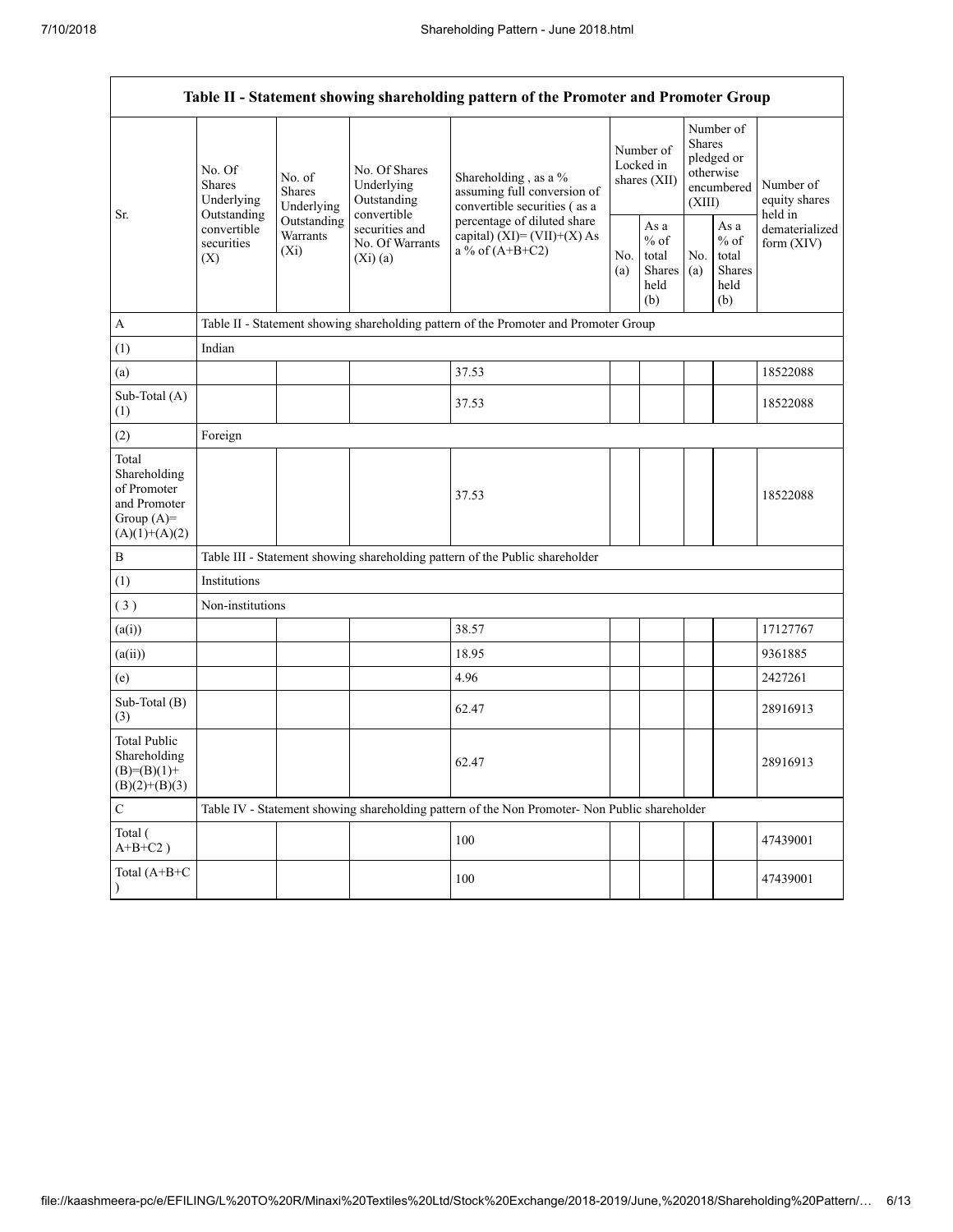Г

| Table II - Statement showing shareholding pattern of the Promoter and Promoter Group    |                                                                                       |                                       |                                                             |                                                                                               |                                        |                                                  |                                                                               |                                                  |                                       |  |  |
|-----------------------------------------------------------------------------------------|---------------------------------------------------------------------------------------|---------------------------------------|-------------------------------------------------------------|-----------------------------------------------------------------------------------------------|----------------------------------------|--------------------------------------------------|-------------------------------------------------------------------------------|--------------------------------------------------|---------------------------------------|--|--|
| Sr.                                                                                     | No. Of<br><b>Shares</b><br>Underlying                                                 | No. of<br><b>Shares</b><br>Underlying | No. Of Shares<br>Underlying<br>Outstanding                  | Shareholding, as a %<br>assuming full conversion of<br>convertible securities (as a           | Number of<br>Locked in<br>shares (XII) |                                                  | Number of<br><b>Shares</b><br>pledged or<br>otherwise<br>encumbered<br>(XIII) |                                                  | Number of<br>equity shares<br>held in |  |  |
|                                                                                         | Outstanding<br>Outstanding<br>convertible<br>Warrants<br>securities<br>$(X_i)$<br>(X) |                                       | convertible<br>securities and<br>No. Of Warrants<br>(Xi)(a) | percentage of diluted share<br>capital) $(XI) = (VII)+(X) As$<br>a % of $(A+B+C2)$            |                                        | As a<br>$%$ of<br>total<br>Shares<br>held<br>(b) | No.<br>(a)                                                                    | As a<br>$%$ of<br>total<br>Shares<br>held<br>(b) | dematerialized<br>form $(XIV)$        |  |  |
| $\mathbf{A}$                                                                            |                                                                                       |                                       |                                                             | Table II - Statement showing shareholding pattern of the Promoter and Promoter Group          |                                        |                                                  |                                                                               |                                                  |                                       |  |  |
| (1)                                                                                     | Indian                                                                                |                                       |                                                             |                                                                                               |                                        |                                                  |                                                                               |                                                  |                                       |  |  |
| (a)                                                                                     |                                                                                       |                                       |                                                             | 37.53                                                                                         |                                        |                                                  |                                                                               |                                                  | 18522088                              |  |  |
| Sub-Total (A)<br>(1)                                                                    |                                                                                       |                                       |                                                             | 37.53                                                                                         |                                        |                                                  |                                                                               |                                                  | 18522088                              |  |  |
| (2)                                                                                     | Foreign                                                                               |                                       |                                                             |                                                                                               |                                        |                                                  |                                                                               |                                                  |                                       |  |  |
| Total<br>Shareholding<br>of Promoter<br>and Promoter<br>Group $(A)=$<br>$(A)(1)+(A)(2)$ |                                                                                       |                                       |                                                             | 37.53                                                                                         |                                        |                                                  |                                                                               |                                                  | 18522088                              |  |  |
| $\, {\bf B}$                                                                            |                                                                                       |                                       |                                                             | Table III - Statement showing shareholding pattern of the Public shareholder                  |                                        |                                                  |                                                                               |                                                  |                                       |  |  |
| (1)                                                                                     | Institutions                                                                          |                                       |                                                             |                                                                                               |                                        |                                                  |                                                                               |                                                  |                                       |  |  |
| (3)                                                                                     | Non-institutions                                                                      |                                       |                                                             |                                                                                               |                                        |                                                  |                                                                               |                                                  |                                       |  |  |
| (a(i))                                                                                  |                                                                                       |                                       |                                                             | 38.57                                                                                         |                                        |                                                  |                                                                               |                                                  | 17127767                              |  |  |
| (a(ii))                                                                                 |                                                                                       |                                       |                                                             | 18.95                                                                                         |                                        |                                                  |                                                                               |                                                  | 9361885                               |  |  |
| (e)                                                                                     |                                                                                       |                                       |                                                             | 4.96                                                                                          |                                        |                                                  |                                                                               |                                                  | 2427261                               |  |  |
| Sub-Total (B)<br>(3)                                                                    |                                                                                       |                                       |                                                             | 62.47                                                                                         |                                        |                                                  |                                                                               |                                                  | 28916913                              |  |  |
| <b>Total Public</b><br>Shareholding<br>$(B)=(B)(1)+$<br>$(B)(2)+(B)(3)$                 |                                                                                       |                                       |                                                             | 62.47                                                                                         |                                        |                                                  |                                                                               |                                                  | 28916913                              |  |  |
| $\mathsf C$                                                                             |                                                                                       |                                       |                                                             | Table IV - Statement showing shareholding pattern of the Non Promoter- Non Public shareholder |                                        |                                                  |                                                                               |                                                  |                                       |  |  |
| Total (<br>$A+B+C2$ )                                                                   |                                                                                       |                                       |                                                             | 100                                                                                           |                                        |                                                  |                                                                               |                                                  | 47439001                              |  |  |
| Total (A+B+C                                                                            |                                                                                       |                                       |                                                             | 100                                                                                           |                                        |                                                  |                                                                               |                                                  | 47439001                              |  |  |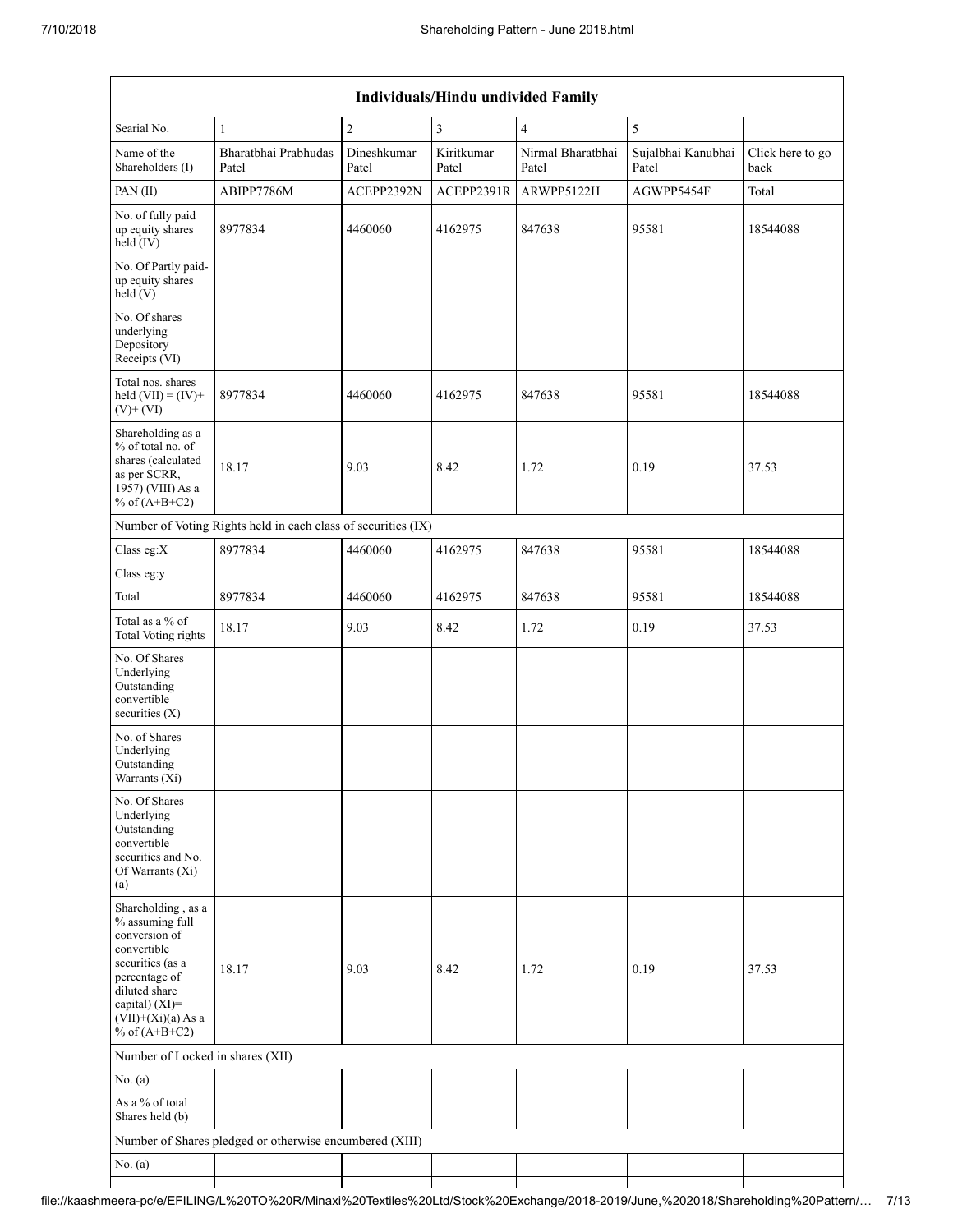| <b>Individuals/Hindu undivided Family</b>                                                                                                                                                |                                                               |                      |                     |                            |                             |                          |  |  |  |  |
|------------------------------------------------------------------------------------------------------------------------------------------------------------------------------------------|---------------------------------------------------------------|----------------------|---------------------|----------------------------|-----------------------------|--------------------------|--|--|--|--|
| Searial No.                                                                                                                                                                              | $\mathbf{1}$                                                  | $\overline{2}$       | 3                   | $\overline{4}$             | 5                           |                          |  |  |  |  |
| Name of the<br>Shareholders (I)                                                                                                                                                          | Bharatbhai Prabhudas<br>Patel                                 | Dineshkumar<br>Patel | Kiritkumar<br>Patel | Nirmal Bharatbhai<br>Patel | Sujalbhai Kanubhai<br>Patel | Click here to go<br>back |  |  |  |  |
| PAN(II)                                                                                                                                                                                  | ABIPP7786M                                                    | ACEPP2392N           | ACEPP2391R          | ARWPP5122H                 | AGWPP5454F                  | Total                    |  |  |  |  |
| No. of fully paid<br>up equity shares<br>held (IV)                                                                                                                                       | 8977834                                                       | 4460060              | 4162975             | 847638                     | 95581                       | 18544088                 |  |  |  |  |
| No. Of Partly paid-<br>up equity shares<br>$\text{held}(V)$                                                                                                                              |                                                               |                      |                     |                            |                             |                          |  |  |  |  |
| No. Of shares<br>underlying<br>Depository<br>Receipts (VI)                                                                                                                               |                                                               |                      |                     |                            |                             |                          |  |  |  |  |
| Total nos. shares<br>held $(VII) = (IV) +$<br>$(V)$ + $(VI)$                                                                                                                             | 8977834                                                       | 4460060              | 4162975             | 847638                     | 95581                       | 18544088                 |  |  |  |  |
| Shareholding as a<br>% of total no. of<br>shares (calculated<br>as per SCRR,<br>1957) (VIII) As a<br>% of $(A+B+C2)$                                                                     | 18.17                                                         | 9.03                 | 8.42                | 1.72                       | 0.19                        | 37.53                    |  |  |  |  |
|                                                                                                                                                                                          | Number of Voting Rights held in each class of securities (IX) |                      |                     |                            |                             |                          |  |  |  |  |
| Class eg:X                                                                                                                                                                               | 8977834                                                       | 4460060              | 4162975             | 847638                     | 95581                       | 18544088                 |  |  |  |  |
| Class eg:y                                                                                                                                                                               |                                                               |                      |                     |                            |                             |                          |  |  |  |  |
| Total                                                                                                                                                                                    | 8977834                                                       | 4460060              | 4162975             | 847638                     | 95581                       | 18544088                 |  |  |  |  |
| Total as a % of<br>Total Voting rights                                                                                                                                                   | 18.17                                                         | 9.03                 | 8.42                | 1.72                       | 0.19                        | 37.53                    |  |  |  |  |
| No. Of Shares<br>Underlying<br>Outstanding<br>convertible<br>securities $(X)$                                                                                                            |                                                               |                      |                     |                            |                             |                          |  |  |  |  |
| No. of Shares<br>Underlying<br>Outstanding<br>Warrants (Xi)                                                                                                                              |                                                               |                      |                     |                            |                             |                          |  |  |  |  |
| No. Of Shares<br>Underlying<br>Outstanding<br>convertible<br>securities and No.<br>Of Warrants (Xi)<br>(a)                                                                               |                                                               |                      |                     |                            |                             |                          |  |  |  |  |
| Shareholding, as a<br>% assuming full<br>conversion of<br>convertible<br>securities (as a<br>percentage of<br>diluted share<br>capital) (XI)=<br>$(VII)+(Xi)(a)$ As a<br>% of $(A+B+C2)$ | 18.17                                                         | 9.03                 | 8.42                | 1.72                       | 0.19                        | 37.53                    |  |  |  |  |
| Number of Locked in shares (XII)                                                                                                                                                         |                                                               |                      |                     |                            |                             |                          |  |  |  |  |
| No. (a)                                                                                                                                                                                  |                                                               |                      |                     |                            |                             |                          |  |  |  |  |
| As a % of total<br>Shares held (b)                                                                                                                                                       |                                                               |                      |                     |                            |                             |                          |  |  |  |  |
|                                                                                                                                                                                          | Number of Shares pledged or otherwise encumbered (XIII)       |                      |                     |                            |                             |                          |  |  |  |  |
| No. $(a)$                                                                                                                                                                                |                                                               |                      |                     |                            |                             |                          |  |  |  |  |
|                                                                                                                                                                                          |                                                               |                      |                     |                            |                             |                          |  |  |  |  |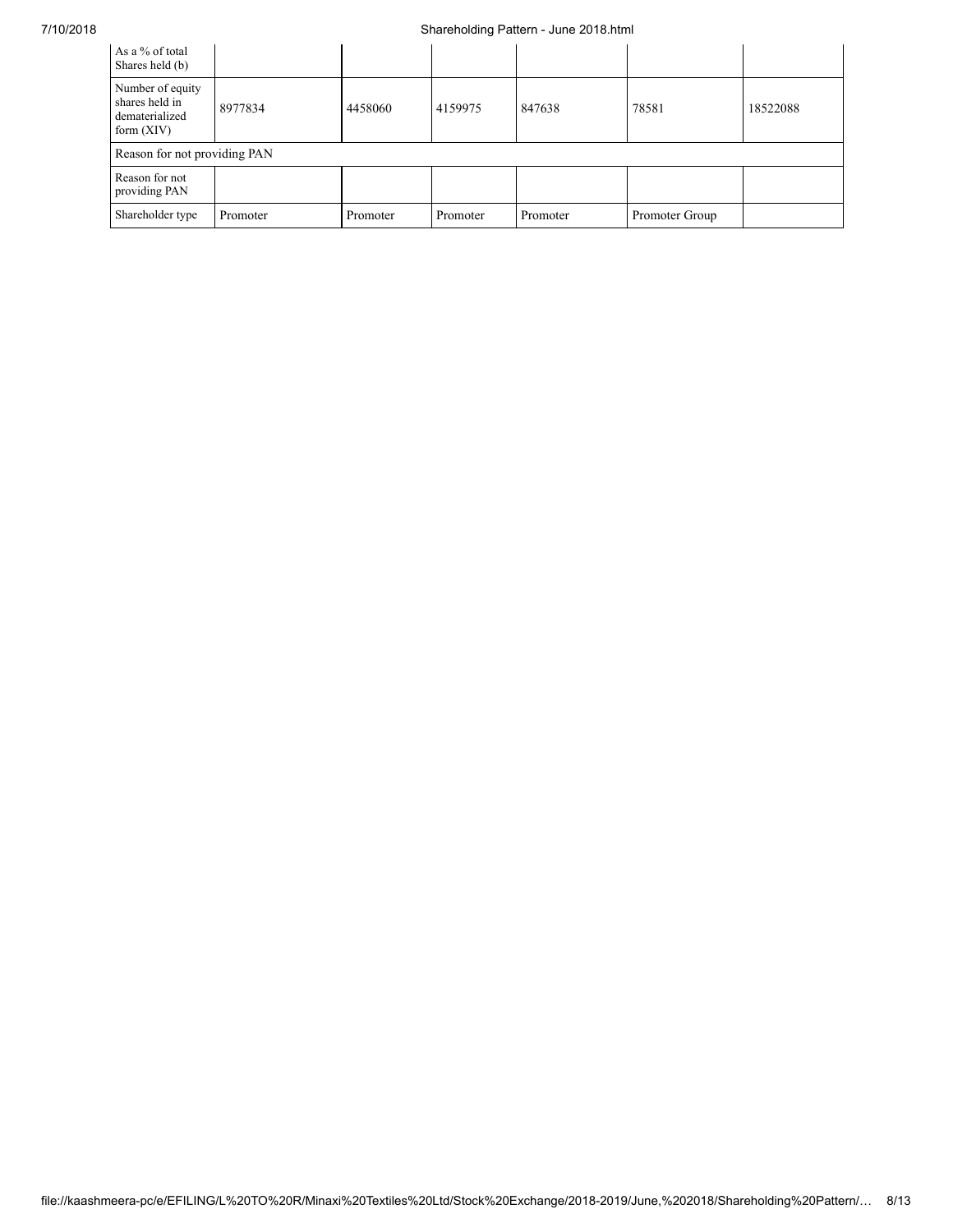## 7/10/2018 Shareholding Pattern - June 2018.html

| As a % of total<br>Shares held (b)                                   |                              |          |          |          |                |          |  |  |  |  |
|----------------------------------------------------------------------|------------------------------|----------|----------|----------|----------------|----------|--|--|--|--|
| Number of equity<br>shares held in<br>dematerialized<br>form $(XIV)$ | 8977834                      | 4458060  | 4159975  | 847638   | 78581          | 18522088 |  |  |  |  |
|                                                                      | Reason for not providing PAN |          |          |          |                |          |  |  |  |  |
| Reason for not<br>providing PAN                                      |                              |          |          |          |                |          |  |  |  |  |
| Shareholder type                                                     | Promoter                     | Promoter | Promoter | Promoter | Promoter Group |          |  |  |  |  |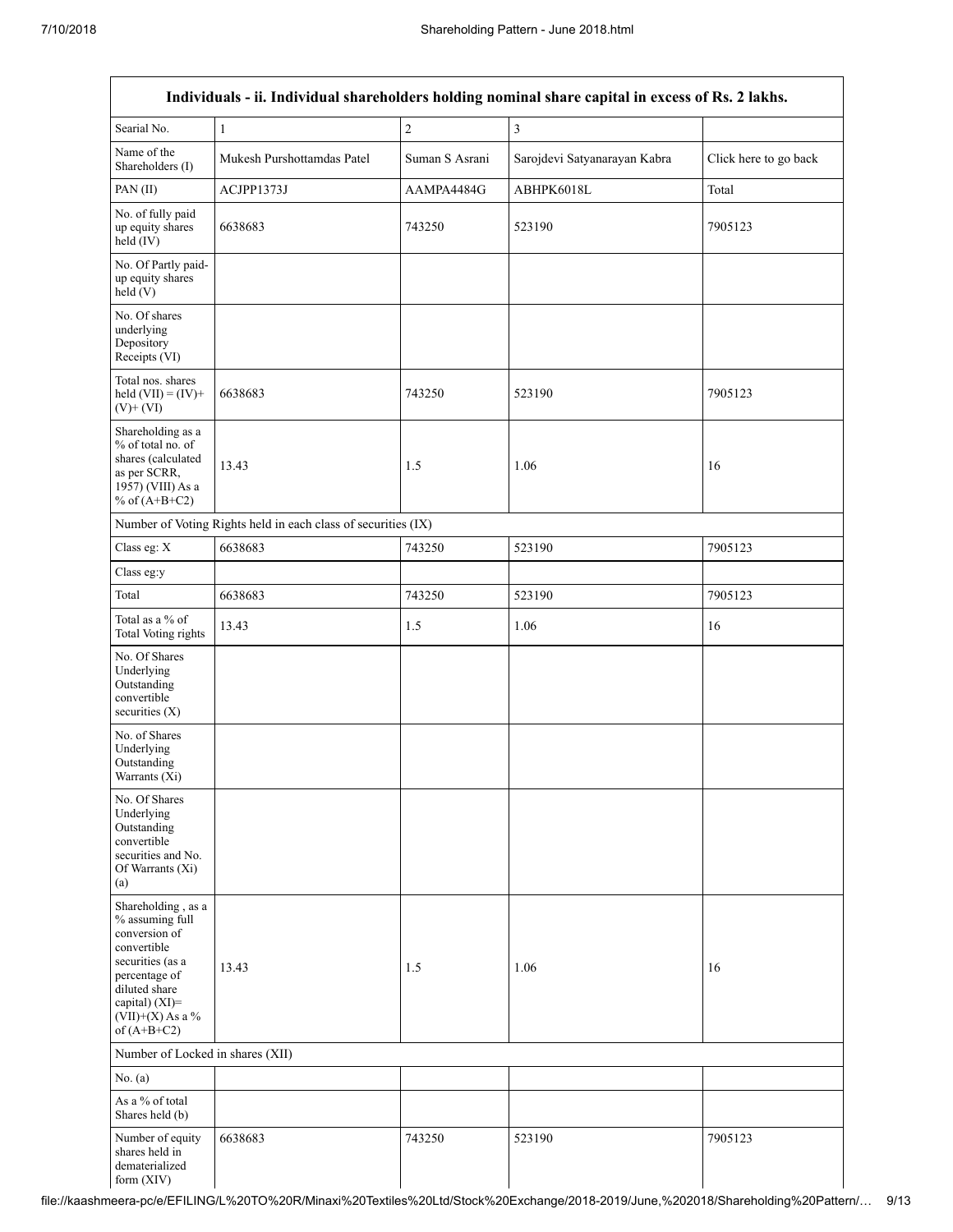|                                                                                                                                                                                      |                                                               |                | Individuals - ii. Individual shareholders holding nominal share capital in excess of Rs. 2 lakhs. |                       |
|--------------------------------------------------------------------------------------------------------------------------------------------------------------------------------------|---------------------------------------------------------------|----------------|---------------------------------------------------------------------------------------------------|-----------------------|
| Searial No.                                                                                                                                                                          | $\mathbf{1}$                                                  | $\sqrt{2}$     | $\overline{\mathbf{3}}$                                                                           |                       |
| Name of the<br>Shareholders (I)                                                                                                                                                      | Mukesh Purshottamdas Patel                                    | Suman S Asrani | Sarojdevi Satyanarayan Kabra                                                                      | Click here to go back |
| PAN (II)                                                                                                                                                                             | ACJPP1373J                                                    | AAMPA4484G     | ABHPK6018L                                                                                        | Total                 |
| No. of fully paid<br>up equity shares<br>held (IV)                                                                                                                                   | 6638683                                                       | 743250         | 523190                                                                                            | 7905123               |
| No. Of Partly paid-<br>up equity shares<br>held(V)                                                                                                                                   |                                                               |                |                                                                                                   |                       |
| No. Of shares<br>underlying<br>Depository<br>Receipts (VI)                                                                                                                           |                                                               |                |                                                                                                   |                       |
| Total nos. shares<br>held $(VII) = (IV) +$<br>$(V)$ + $(VI)$                                                                                                                         | 6638683                                                       | 743250         | 523190                                                                                            | 7905123               |
| Shareholding as a<br>% of total no. of<br>shares (calculated<br>as per SCRR,<br>1957) (VIII) As a<br>% of $(A+B+C2)$                                                                 | 13.43                                                         | 1.5            | 1.06                                                                                              | 16                    |
|                                                                                                                                                                                      | Number of Voting Rights held in each class of securities (IX) |                |                                                                                                   |                       |
| Class eg: X                                                                                                                                                                          | 6638683                                                       | 743250         | 523190                                                                                            | 7905123               |
| Class eg:y                                                                                                                                                                           |                                                               |                |                                                                                                   |                       |
| Total                                                                                                                                                                                | 6638683                                                       | 743250         | 523190                                                                                            | 7905123               |
| Total as a % of<br>Total Voting rights                                                                                                                                               | 13.43                                                         | 1.5            | 1.06                                                                                              | 16                    |
| No. Of Shares<br>Underlying<br>Outstanding<br>convertible<br>securities $(X)$                                                                                                        |                                                               |                |                                                                                                   |                       |
| No. of Shares<br>Underlying<br>Outstanding<br>Warrants (Xi)                                                                                                                          |                                                               |                |                                                                                                   |                       |
| No. Of Shares<br>Underlying<br>Outstanding<br>convertible<br>securities and No.<br>Of Warrants (Xi)<br>(a)                                                                           |                                                               |                |                                                                                                   |                       |
| Shareholding, as a<br>% assuming full<br>conversion of<br>convertible<br>securities (as a<br>percentage of<br>diluted share<br>capital) (XI)=<br>$(VII)+(X)$ As a %<br>of $(A+B+C2)$ | 13.43                                                         | 1.5            | 1.06                                                                                              | 16                    |
| Number of Locked in shares (XII)                                                                                                                                                     |                                                               |                |                                                                                                   |                       |
| No. (a)                                                                                                                                                                              |                                                               |                |                                                                                                   |                       |
| As a % of total<br>Shares held (b)                                                                                                                                                   |                                                               |                |                                                                                                   |                       |
| Number of equity<br>shares held in<br>dematerialized<br>form $(XIV)$                                                                                                                 | 6638683                                                       | 743250         | 523190                                                                                            | 7905123               |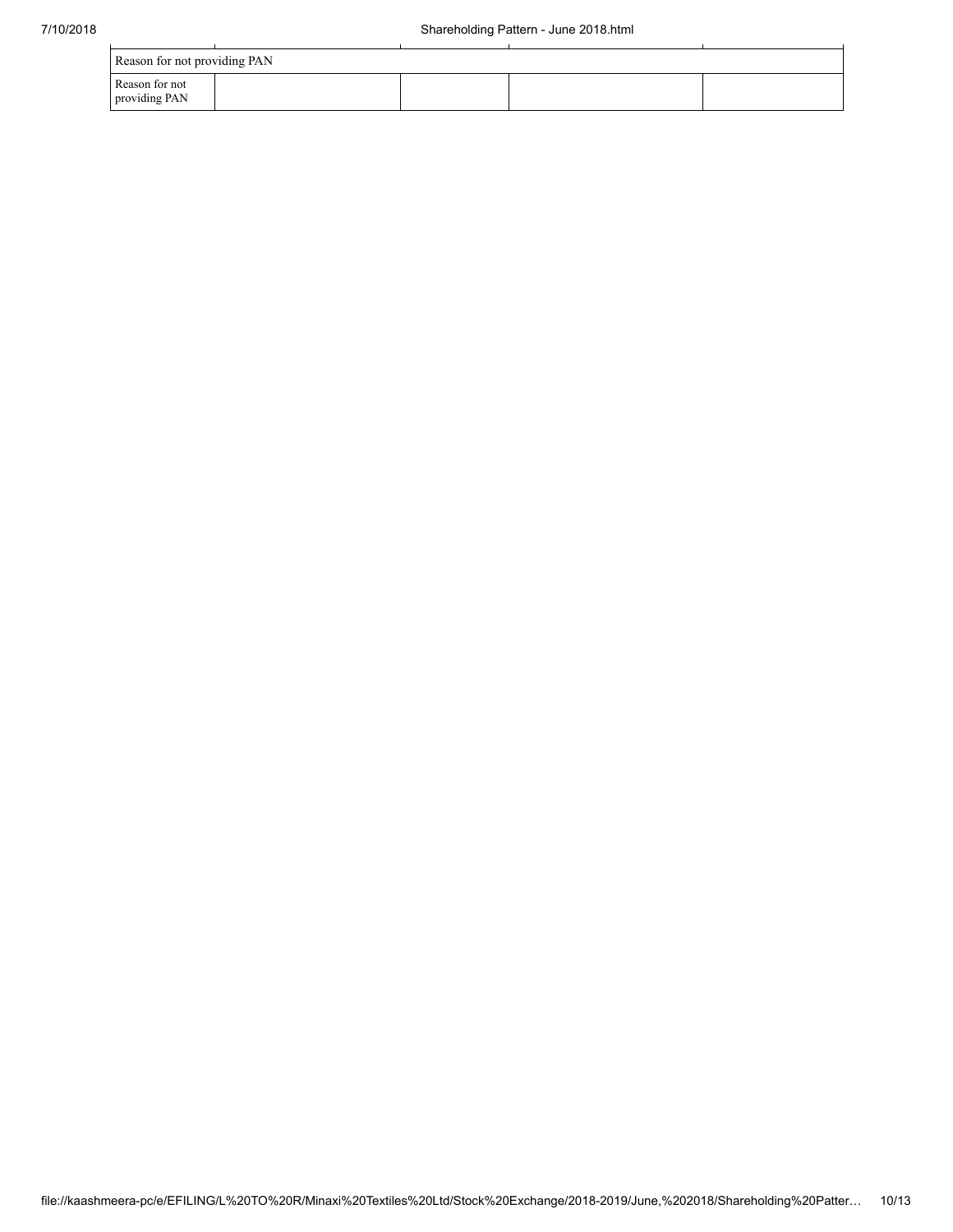| Reason for not providing PAN    |  |  |  |  |  |  |  |  |
|---------------------------------|--|--|--|--|--|--|--|--|
| Reason for not<br>providing PAN |  |  |  |  |  |  |  |  |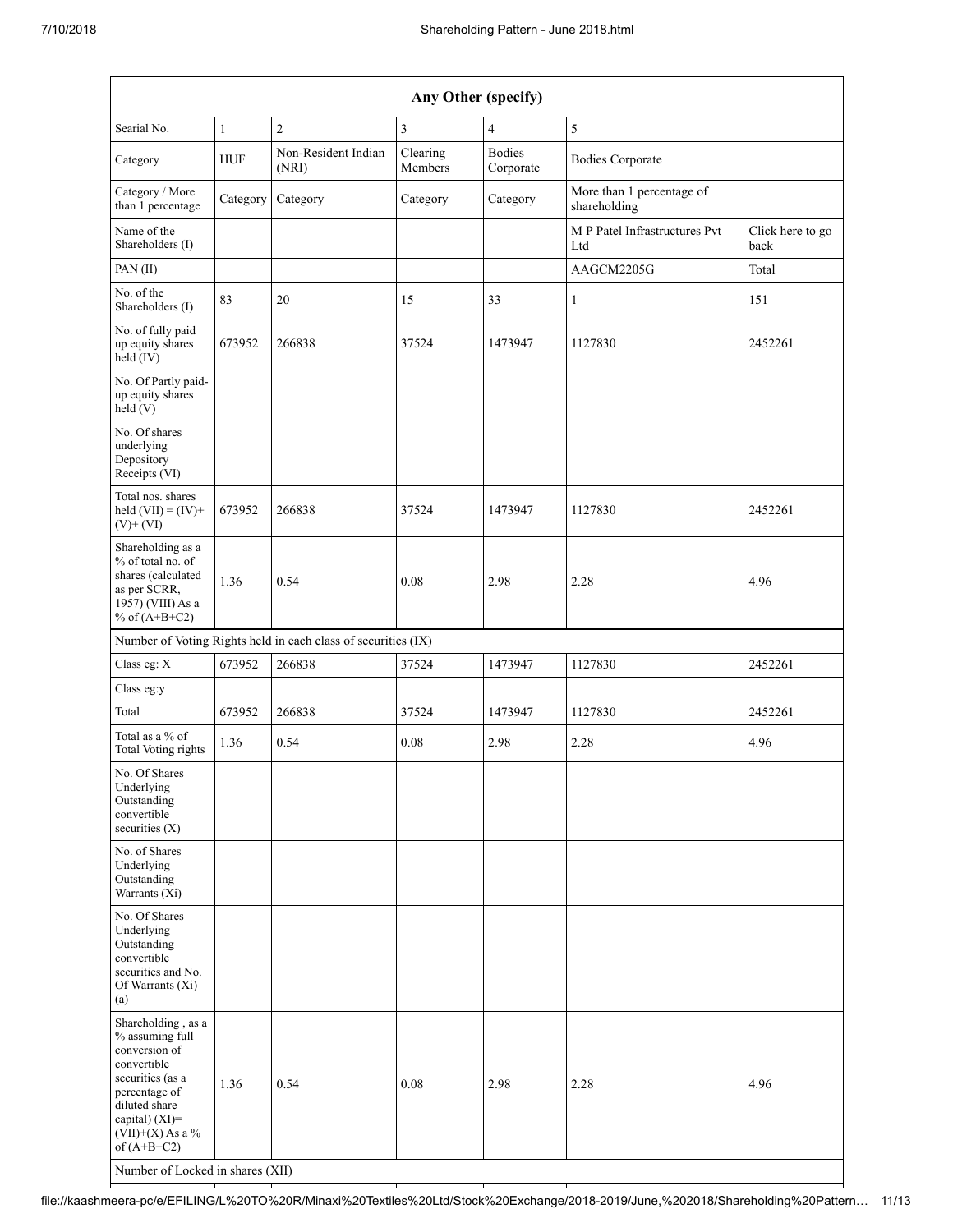| Any Other (specify)                                                                                                                                                                                                      |              |                                                               |                     |                            |                                           |                          |  |  |  |  |
|--------------------------------------------------------------------------------------------------------------------------------------------------------------------------------------------------------------------------|--------------|---------------------------------------------------------------|---------------------|----------------------------|-------------------------------------------|--------------------------|--|--|--|--|
| Searial No.                                                                                                                                                                                                              | $\mathbf{1}$ | $\overline{c}$                                                | 3                   | $\overline{4}$             | 5                                         |                          |  |  |  |  |
| Category                                                                                                                                                                                                                 | <b>HUF</b>   | Non-Resident Indian<br>(NRI)                                  | Clearing<br>Members | <b>Bodies</b><br>Corporate | <b>Bodies Corporate</b>                   |                          |  |  |  |  |
| Category / More<br>than 1 percentage                                                                                                                                                                                     | Category     | Category                                                      | Category            | Category                   | More than 1 percentage of<br>shareholding |                          |  |  |  |  |
| Name of the<br>Shareholders (I)                                                                                                                                                                                          |              |                                                               |                     |                            | M P Patel Infrastructures Pvt<br>Ltd      | Click here to go<br>back |  |  |  |  |
| PAN(II)                                                                                                                                                                                                                  |              |                                                               |                     |                            | AAGCM2205G                                | Total                    |  |  |  |  |
| No. of the<br>Shareholders (I)                                                                                                                                                                                           | 83           | 20                                                            | 15                  | 33                         | 1                                         | 151                      |  |  |  |  |
| No. of fully paid<br>up equity shares<br>held (IV)                                                                                                                                                                       | 673952       | 266838                                                        | 37524               | 1473947                    | 1127830                                   | 2452261                  |  |  |  |  |
| No. Of Partly paid-<br>up equity shares<br>held (V)                                                                                                                                                                      |              |                                                               |                     |                            |                                           |                          |  |  |  |  |
| No. Of shares<br>underlying<br>Depository<br>Receipts (VI)                                                                                                                                                               |              |                                                               |                     |                            |                                           |                          |  |  |  |  |
| Total nos. shares<br>held $(VII) = (IV) +$<br>$(V)$ + $(VI)$                                                                                                                                                             | 673952       | 266838                                                        | 37524               | 1473947                    | 1127830                                   | 2452261                  |  |  |  |  |
| Shareholding as a<br>% of total no. of<br>shares (calculated<br>as per SCRR,<br>1957) (VIII) As a<br>% of $(A+B+C2)$                                                                                                     | 1.36         | 0.54                                                          | 0.08                | 2.98                       | 2.28                                      | 4.96                     |  |  |  |  |
|                                                                                                                                                                                                                          |              | Number of Voting Rights held in each class of securities (IX) |                     |                            |                                           |                          |  |  |  |  |
| Class eg: X                                                                                                                                                                                                              | 673952       | 266838                                                        | 37524               | 1473947                    | 1127830                                   | 2452261                  |  |  |  |  |
| Class eg:y                                                                                                                                                                                                               |              |                                                               |                     |                            |                                           |                          |  |  |  |  |
| Total                                                                                                                                                                                                                    | 673952       | 266838                                                        | 37524               | 1473947                    | 1127830                                   | 2452261                  |  |  |  |  |
| Total as a % of<br>Total Voting rights                                                                                                                                                                                   | 1.36         | 0.54                                                          | 0.08                | 2.98                       | 2.28                                      | 4.96                     |  |  |  |  |
| No. Of Shares<br>Underlying<br>Outstanding<br>convertible<br>securities $(X)$                                                                                                                                            |              |                                                               |                     |                            |                                           |                          |  |  |  |  |
| No. of Shares<br>Underlying<br>Outstanding<br>Warrants $(X_i)$                                                                                                                                                           |              |                                                               |                     |                            |                                           |                          |  |  |  |  |
| No. Of Shares<br>Underlying<br>Outstanding<br>convertible<br>securities and No.<br>Of Warrants (Xi)<br>(a)                                                                                                               |              |                                                               |                     |                            |                                           |                          |  |  |  |  |
| Shareholding, as a<br>% assuming full<br>conversion of<br>convertible<br>securities (as a<br>percentage of<br>diluted share<br>capital) (XI)=<br>$(VII)+(X)$ As a %<br>of $(A+B+C2)$<br>Number of Locked in shares (XII) | 1.36         | 0.54                                                          | 0.08                | 2.98                       | 2.28                                      | 4.96                     |  |  |  |  |

file://kaashmeera-pc/e/EFILING/L%20TO%20R/Minaxi%20Textiles%20Ltd/Stock%20Exchange/2018-2019/June,%202018/Shareholding%20Pattern… 11/13